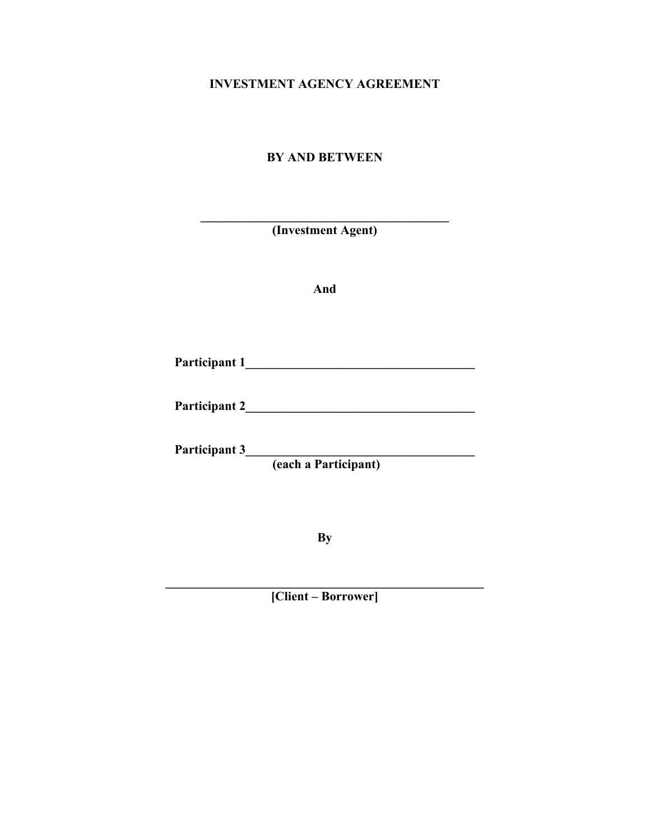# **INVESTMENT AGENCY AGREEMENT**

# **BY AND BETWEEN**

| (Investment Agent) |  |
|--------------------|--|
|--------------------|--|

 $\mathcal{L} = \{ \mathcal{L} \}$ 

**And** 

| Participant 1 |
|---------------|
|---------------|

**Participant 2\_\_\_\_\_\_\_\_\_\_\_\_\_\_\_\_\_\_\_\_\_\_\_\_\_\_\_\_\_\_\_\_\_\_\_\_** 

**Participant 3 (each a Participant)** 

**By** 

**[Client – Borrower]** 

**\_\_\_\_\_\_\_\_\_\_\_\_\_\_\_\_\_\_\_\_\_\_\_\_\_\_\_\_\_\_\_\_\_\_\_\_\_\_\_\_\_\_\_\_\_\_\_\_\_\_**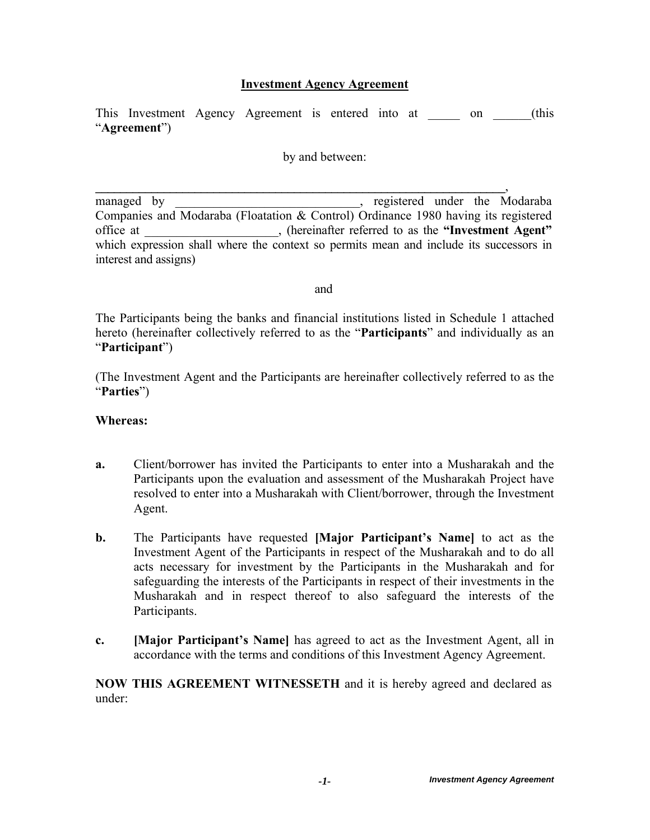## **Investment Agency Agreement**

This Investment Agency Agreement is entered into at \_\_\_\_\_\_ on \_\_\_\_\_(this "**Agreement**")

by and between:

**\_\_\_\_\_\_\_\_\_\_\_\_\_\_\_\_\_\_\_\_\_\_\_\_\_\_\_\_\_\_\_\_\_\_\_\_\_\_\_\_\_\_\_\_\_\_\_\_\_\_\_\_\_\_\_\_\_\_\_\_\_\_\_\_\_\_**,

managed by equilibrium registered under the Modaraba Companies and Modaraba (Floatation & Control) Ordinance 1980 having its registered office at \_\_\_\_\_\_\_\_\_\_\_\_\_\_\_\_\_\_\_\_\_, (hereinafter referred to as the **"Investment Agent"** which expression shall where the context so permits mean and include its successors in interest and assigns)

and

The Participants being the banks and financial institutions listed in Schedule 1 attached hereto (hereinafter collectively referred to as the "**Participants**" and individually as an "**Participant**")

(The Investment Agent and the Participants are hereinafter collectively referred to as the "**Parties**")

#### **Whereas:**

- **a.** Client/borrower has invited the Participants to enter into a Musharakah and the Participants upon the evaluation and assessment of the Musharakah Project have resolved to enter into a Musharakah with Client/borrower, through the Investment Agent.
- **b.** The Participants have requested **[Major Participant's Name]** to act as the Investment Agent of the Participants in respect of the Musharakah and to do all acts necessary for investment by the Participants in the Musharakah and for safeguarding the interests of the Participants in respect of their investments in the Musharakah and in respect thereof to also safeguard the interests of the Participants.
- **c. [Major Participant's Name]** has agreed to act as the Investment Agent, all in accordance with the terms and conditions of this Investment Agency Agreement.

**NOW THIS AGREEMENT WITNESSETH** and it is hereby agreed and declared as under: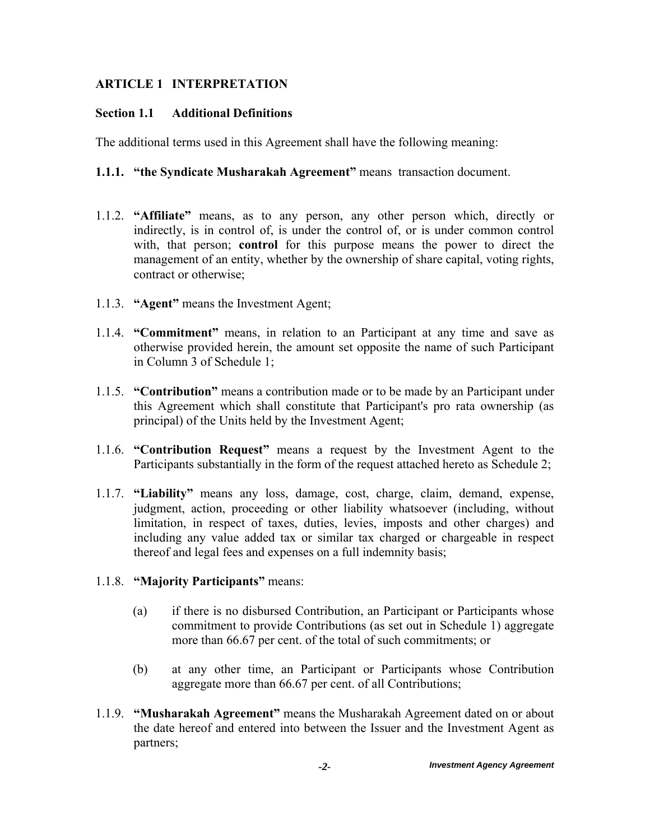# **ARTICLE 1 INTERPRETATION**

# **Section 1.1 Additional Definitions**

The additional terms used in this Agreement shall have the following meaning:

# **1.1.1. "the Syndicate Musharakah Agreement"** means transaction document.

- 1.1.2. **"Affiliate"** means, as to any person, any other person which, directly or indirectly, is in control of, is under the control of, or is under common control with, that person; **control** for this purpose means the power to direct the management of an entity, whether by the ownership of share capital, voting rights, contract or otherwise;
- 1.1.3. **"Agent"** means the Investment Agent;
- 1.1.4. **"Commitment"** means, in relation to an Participant at any time and save as otherwise provided herein, the amount set opposite the name of such Participant in Column 3 of Schedule 1;
- 1.1.5. **"Contribution"** means a contribution made or to be made by an Participant under this Agreement which shall constitute that Participant's pro rata ownership (as principal) of the Units held by the Investment Agent;
- 1.1.6. **"Contribution Request"** means a request by the Investment Agent to the Participants substantially in the form of the request attached hereto as Schedule 2;
- 1.1.7. **"Liability"** means any loss, damage, cost, charge, claim, demand, expense, judgment, action, proceeding or other liability whatsoever (including, without limitation, in respect of taxes, duties, levies, imposts and other charges) and including any value added tax or similar tax charged or chargeable in respect thereof and legal fees and expenses on a full indemnity basis;
- 1.1.8. **"Majority Participants"** means:
	- (a) if there is no disbursed Contribution, an Participant or Participants whose commitment to provide Contributions (as set out in Schedule 1) aggregate more than 66.67 per cent. of the total of such commitments; or
	- (b) at any other time, an Participant or Participants whose Contribution aggregate more than 66.67 per cent. of all Contributions;
- 1.1.9. **"Musharakah Agreement"** means the Musharakah Agreement dated on or about the date hereof and entered into between the Issuer and the Investment Agent as partners;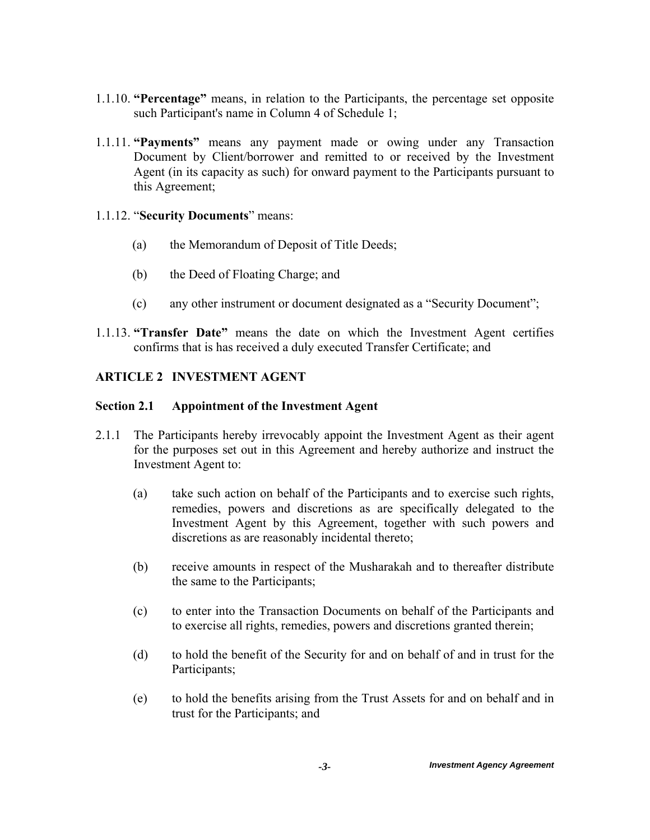- 1.1.10. **"Percentage"** means, in relation to the Participants, the percentage set opposite such Participant's name in Column 4 of Schedule 1;
- 1.1.11. **"Payments"** means any payment made or owing under any Transaction Document by Client/borrower and remitted to or received by the Investment Agent (in its capacity as such) for onward payment to the Participants pursuant to this Agreement;

## 1.1.12. "**Security Documents**" means:

- (a) the Memorandum of Deposit of Title Deeds;
- (b) the Deed of Floating Charge; and
- (c) any other instrument or document designated as a "Security Document";
- 1.1.13. **"Transfer Date"** means the date on which the Investment Agent certifies confirms that is has received a duly executed Transfer Certificate; and

# **ARTICLE 2 INVESTMENT AGENT**

## **Section 2.1 Appointment of the Investment Agent**

- 2.1.1 The Participants hereby irrevocably appoint the Investment Agent as their agent for the purposes set out in this Agreement and hereby authorize and instruct the Investment Agent to:
	- (a) take such action on behalf of the Participants and to exercise such rights, remedies, powers and discretions as are specifically delegated to the Investment Agent by this Agreement, together with such powers and discretions as are reasonably incidental thereto;
	- (b) receive amounts in respect of the Musharakah and to thereafter distribute the same to the Participants;
	- (c) to enter into the Transaction Documents on behalf of the Participants and to exercise all rights, remedies, powers and discretions granted therein;
	- (d) to hold the benefit of the Security for and on behalf of and in trust for the Participants;
	- (e) to hold the benefits arising from the Trust Assets for and on behalf and in trust for the Participants; and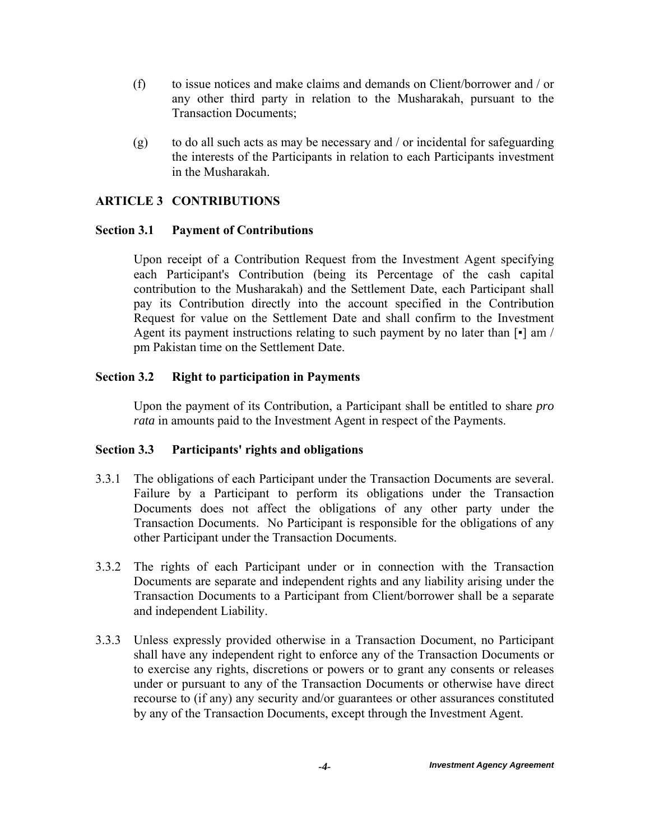- (f) to issue notices and make claims and demands on Client/borrower and / or any other third party in relation to the Musharakah, pursuant to the Transaction Documents;
- (g) to do all such acts as may be necessary and / or incidental for safeguarding the interests of the Participants in relation to each Participants investment in the Musharakah.

# **ARTICLE 3 CONTRIBUTIONS**

#### **Section 3.1 Payment of Contributions**

Upon receipt of a Contribution Request from the Investment Agent specifying each Participant's Contribution (being its Percentage of the cash capital contribution to the Musharakah) and the Settlement Date, each Participant shall pay its Contribution directly into the account specified in the Contribution Request for value on the Settlement Date and shall confirm to the Investment Agent its payment instructions relating to such payment by no later than [▪] am / pm Pakistan time on the Settlement Date.

## **Section 3.2 Right to participation in Payments**

Upon the payment of its Contribution, a Participant shall be entitled to share *pro rata* in amounts paid to the Investment Agent in respect of the Payments.

#### **Section 3.3 Participants' rights and obligations**

- 3.3.1 The obligations of each Participant under the Transaction Documents are several. Failure by a Participant to perform its obligations under the Transaction Documents does not affect the obligations of any other party under the Transaction Documents. No Participant is responsible for the obligations of any other Participant under the Transaction Documents.
- 3.3.2 The rights of each Participant under or in connection with the Transaction Documents are separate and independent rights and any liability arising under the Transaction Documents to a Participant from Client/borrower shall be a separate and independent Liability.
- 3.3.3 Unless expressly provided otherwise in a Transaction Document, no Participant shall have any independent right to enforce any of the Transaction Documents or to exercise any rights, discretions or powers or to grant any consents or releases under or pursuant to any of the Transaction Documents or otherwise have direct recourse to (if any) any security and/or guarantees or other assurances constituted by any of the Transaction Documents, except through the Investment Agent.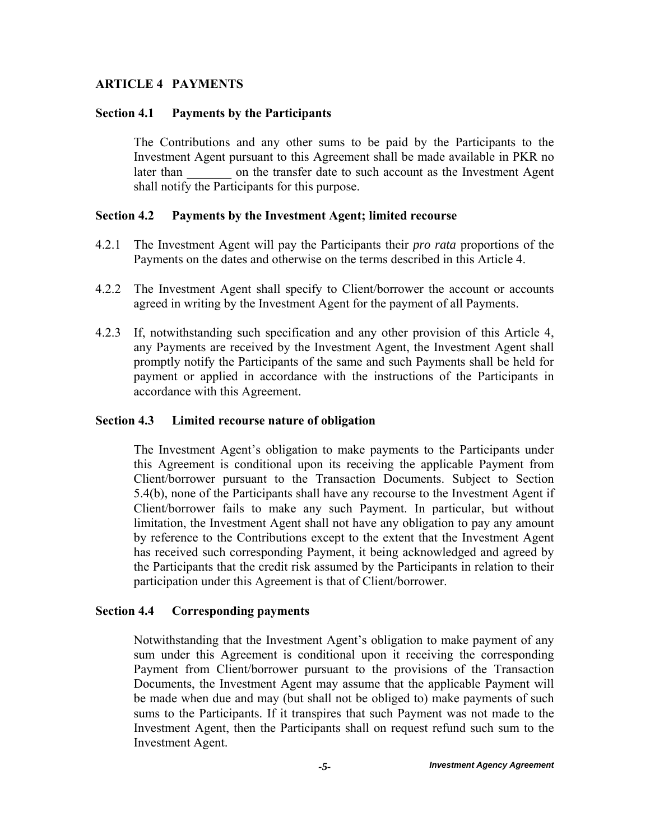#### **ARTICLE 4 PAYMENTS**

#### **Section 4.1 Payments by the Participants**

The Contributions and any other sums to be paid by the Participants to the Investment Agent pursuant to this Agreement shall be made available in PKR no later than on the transfer date to such account as the Investment Agent shall notify the Participants for this purpose.

#### **Section 4.2 Payments by the Investment Agent; limited recourse**

- 4.2.1 The Investment Agent will pay the Participants their *pro rata* proportions of the Payments on the dates and otherwise on the terms described in this Article 4.
- 4.2.2 The Investment Agent shall specify to Client/borrower the account or accounts agreed in writing by the Investment Agent for the payment of all Payments.
- 4.2.3 If, notwithstanding such specification and any other provision of this Article 4, any Payments are received by the Investment Agent, the Investment Agent shall promptly notify the Participants of the same and such Payments shall be held for payment or applied in accordance with the instructions of the Participants in accordance with this Agreement.

#### **Section 4.3 Limited recourse nature of obligation**

The Investment Agent's obligation to make payments to the Participants under this Agreement is conditional upon its receiving the applicable Payment from Client/borrower pursuant to the Transaction Documents. Subject to Section 5.4(b), none of the Participants shall have any recourse to the Investment Agent if Client/borrower fails to make any such Payment. In particular, but without limitation, the Investment Agent shall not have any obligation to pay any amount by reference to the Contributions except to the extent that the Investment Agent has received such corresponding Payment, it being acknowledged and agreed by the Participants that the credit risk assumed by the Participants in relation to their participation under this Agreement is that of Client/borrower.

#### **Section 4.4 Corresponding payments**

Notwithstanding that the Investment Agent's obligation to make payment of any sum under this Agreement is conditional upon it receiving the corresponding Payment from Client/borrower pursuant to the provisions of the Transaction Documents, the Investment Agent may assume that the applicable Payment will be made when due and may (but shall not be obliged to) make payments of such sums to the Participants. If it transpires that such Payment was not made to the Investment Agent, then the Participants shall on request refund such sum to the Investment Agent.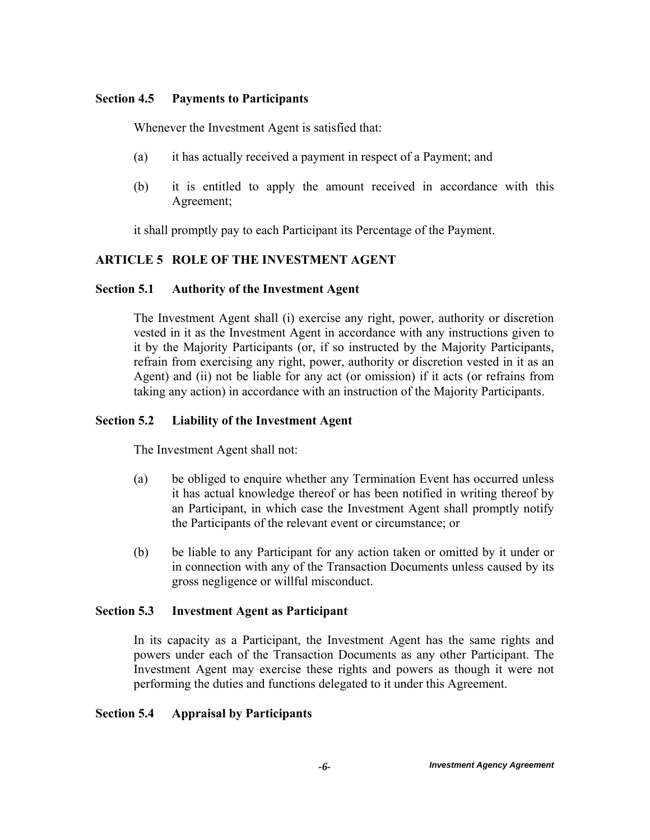### **Section 4.5 Payments to Participants**

Whenever the Investment Agent is satisfied that:

- (a) it has actually received a payment in respect of a Payment; and
- (b) it is entitled to apply the amount received in accordance with this Agreement;

it shall promptly pay to each Participant its Percentage of the Payment.

# **ARTICLE 5 ROLE OF THE INVESTMENT AGENT**

# **Section 5.1 Authority of the Investment Agent**

The Investment Agent shall (i) exercise any right, power, authority or discretion vested in it as the Investment Agent in accordance with any instructions given to it by the Majority Participants (or, if so instructed by the Majority Participants, refrain from exercising any right, power, authority or discretion vested in it as an Agent) and (ii) not be liable for any act (or omission) if it acts (or refrains from taking any action) in accordance with an instruction of the Majority Participants.

# **Section 5.2 Liability of the Investment Agent**

The Investment Agent shall not:

- (a) be obliged to enquire whether any Termination Event has occurred unless it has actual knowledge thereof or has been notified in writing thereof by an Participant, in which case the Investment Agent shall promptly notify the Participants of the relevant event or circumstance; or
- (b) be liable to any Participant for any action taken or omitted by it under or in connection with any of the Transaction Documents unless caused by its gross negligence or willful misconduct.

# **Section 5.3 Investment Agent as Participant**

 In its capacity as a Participant, the Investment Agent has the same rights and powers under each of the Transaction Documents as any other Participant. The Investment Agent may exercise these rights and powers as though it were not performing the duties and functions delegated to it under this Agreement.

# **Section 5.4 Appraisal by Participants**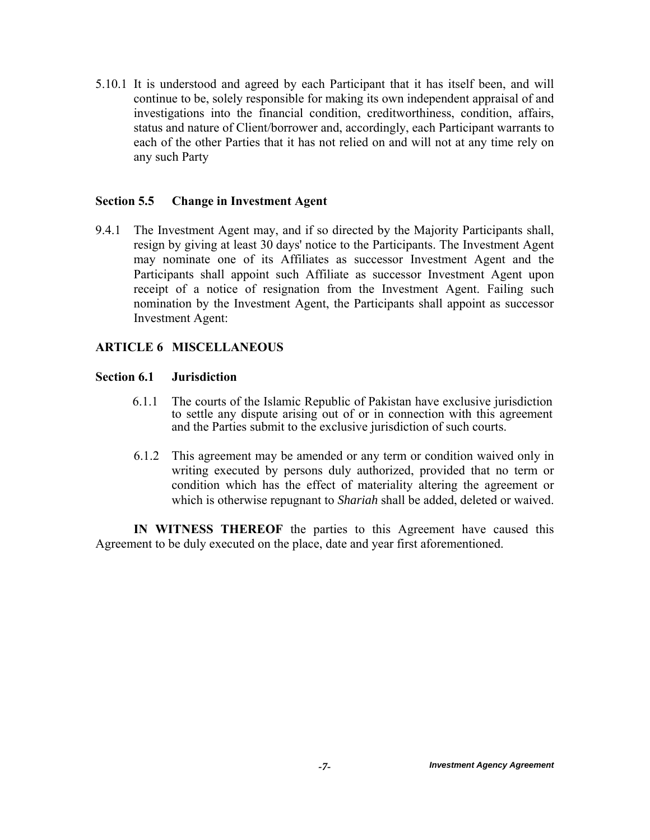5.10.1 It is understood and agreed by each Participant that it has itself been, and will continue to be, solely responsible for making its own independent appraisal of and investigations into the financial condition, creditworthiness, condition, affairs, status and nature of Client/borrower and, accordingly, each Participant warrants to each of the other Parties that it has not relied on and will not at any time rely on any such Party

#### **Section 5.5 Change in Investment Agent**

9.4.1 The Investment Agent may, and if so directed by the Majority Participants shall, resign by giving at least 30 days' notice to the Participants. The Investment Agent may nominate one of its Affiliates as successor Investment Agent and the Participants shall appoint such Affiliate as successor Investment Agent upon receipt of a notice of resignation from the Investment Agent. Failing such nomination by the Investment Agent, the Participants shall appoint as successor Investment Agent:

## **ARTICLE 6 MISCELLANEOUS**

## **Section 6.1 Jurisdiction**

- 6.1.1 The courts of the Islamic Republic of Pakistan have exclusive jurisdiction to settle any dispute arising out of or in connection with this agreement and the Parties submit to the exclusive jurisdiction of such courts.
- 6.1.2 This agreement may be amended or any term or condition waived only in writing executed by persons duly authorized, provided that no term or condition which has the effect of materiality altering the agreement or which is otherwise repugnant to *Shariah* shall be added, deleted or waived.

**IN WITNESS THEREOF** the parties to this Agreement have caused this Agreement to be duly executed on the place, date and year first aforementioned.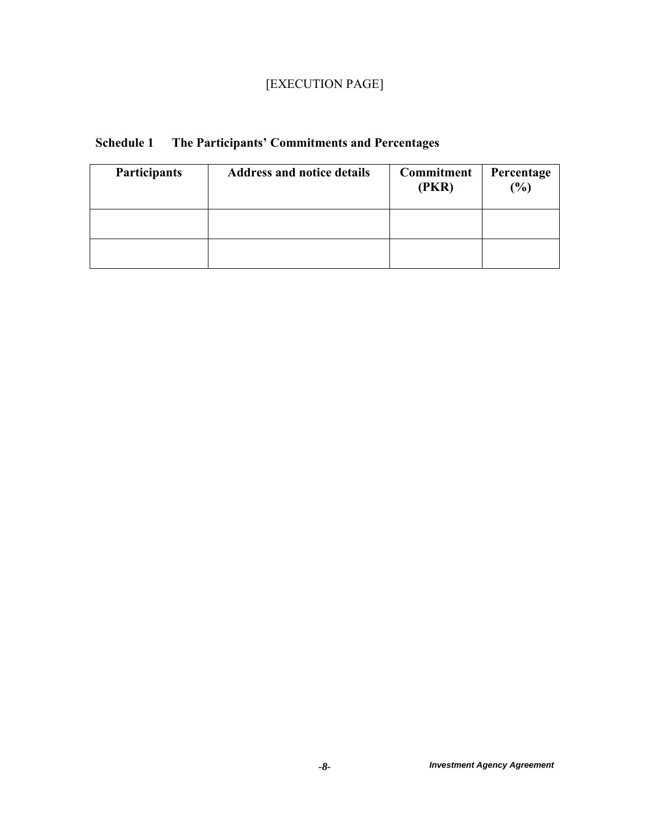# [EXECUTION PAGE]

| Participants | <b>Address and notice details</b> | <b>Commitment</b><br>(PKR) | Percentage<br>$\frac{6}{6}$ |
|--------------|-----------------------------------|----------------------------|-----------------------------|
|              |                                   |                            |                             |
|              |                                   |                            |                             |

# **Schedule 1 The Participants' Commitments and Percentages**